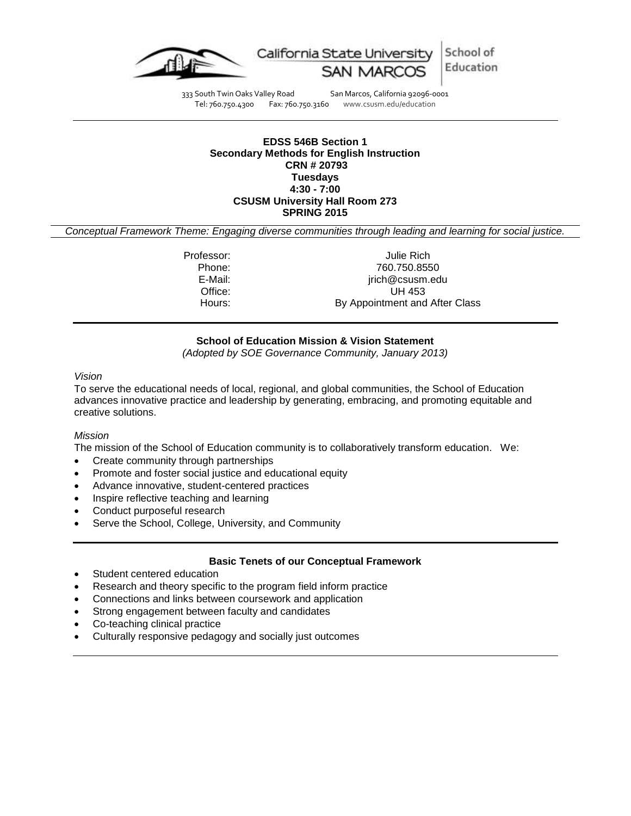

333 South Twin Oaks Valley Road San Marcos, California 92096-0001 Tel: 760.750.4300 Fax: 760.750.3160 www.csusm.edu/education

#### **EDSS 546B Section 1 Secondary Methods for English Instruction CRN # 20793 Tuesdays 4:30 - 7:00 CSUSM University Hall Room 273 SPRING 2015**

<span id="page-0-0"></span>*Conceptual Framework Theme: Engaging diverse communities through leading and learning for social justice.*

Professor: Julie Rich Phone: 760.750.8550 E-Mail: jrich@csusm.edu Office: UH 453 Hours: By Appointment and After Class

# **School of Education Mission & Vision Statement**

*(Adopted by SOE Governance Community, January 2013)*

#### *Vision*

To serve the educational needs of local, regional, and global communities, the School of Education advances innovative practice and leadership by generating, embracing, and promoting equitable and creative solutions.

#### *Mission*

The mission of the School of Education community is to collaboratively transform education. We:

- Create community through partnerships
- Promote and foster social justice and educational equity
- Advance innovative, student-centered practices
- Inspire reflective teaching and learning
- Conduct purposeful research
- Serve the School, College, University, and Community

### **Basic Tenets of our Conceptual Framework**

- Student centered education
- Research and theory specific to the program field inform practice
- Connections and links between coursework and application
- Strong engagement between faculty and candidates
- Co-teaching clinical practice
- Culturally responsive pedagogy and socially just outcomes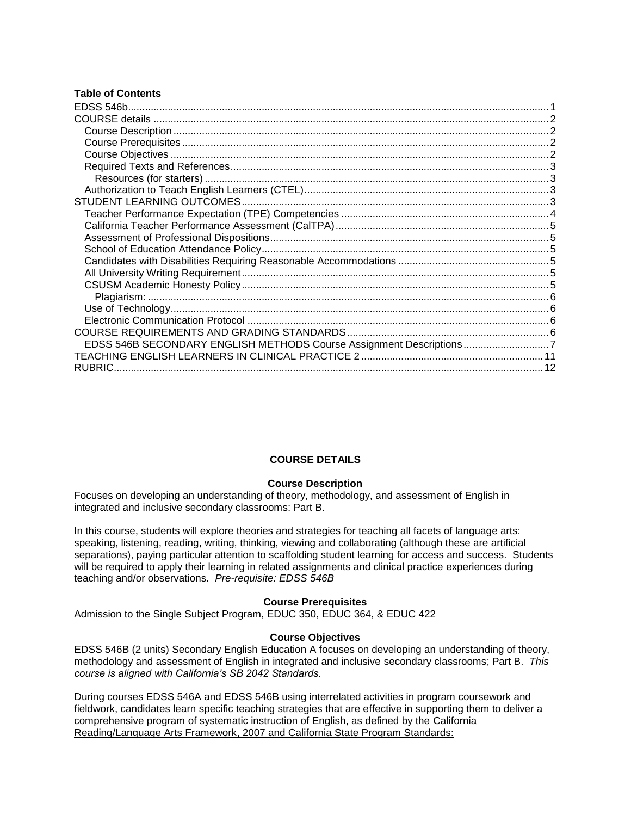| <b>Table of Contents</b>                                            |  |
|---------------------------------------------------------------------|--|
|                                                                     |  |
|                                                                     |  |
|                                                                     |  |
|                                                                     |  |
|                                                                     |  |
|                                                                     |  |
|                                                                     |  |
|                                                                     |  |
|                                                                     |  |
|                                                                     |  |
|                                                                     |  |
|                                                                     |  |
|                                                                     |  |
|                                                                     |  |
|                                                                     |  |
|                                                                     |  |
|                                                                     |  |
|                                                                     |  |
|                                                                     |  |
|                                                                     |  |
| EDSS 546B SECONDARY ENGLISH METHODS Course Assignment Descriptions7 |  |
|                                                                     |  |
|                                                                     |  |

## **COURSE DETAILS**

## **Course Description**

<span id="page-1-1"></span><span id="page-1-0"></span>Focuses on developing an understanding of theory, methodology, and assessment of English in integrated and inclusive secondary classrooms: Part B.

In this course, students will explore theories and strategies for teaching all facets of language arts: speaking, listening, reading, writing, thinking, viewing and collaborating (although these are artificial separations), paying particular attention to scaffolding student learning for access and success. Students will be required to apply their learning in related assignments and clinical practice experiences during teaching and/or observations. *Pre-requisite: EDSS 546B*

#### **Course Prerequisites**

<span id="page-1-2"></span>Admission to the Single Subject Program, EDUC 350, EDUC 364, & EDUC 422

#### **Course Objectives**

<span id="page-1-3"></span>EDSS 546B (2 units) Secondary English Education A focuses on developing an understanding of theory, methodology and assessment of English in integrated and inclusive secondary classrooms; Part B. *This course is aligned with California's SB 2042 Standards.* 

During courses EDSS 546A and EDSS 546B using interrelated activities in program coursework and fieldwork, candidates learn specific teaching strategies that are effective in supporting them to deliver a comprehensive program of systematic instruction of English, as defined by the California Reading/Language Arts Framework, 2007 and California State Program Standards: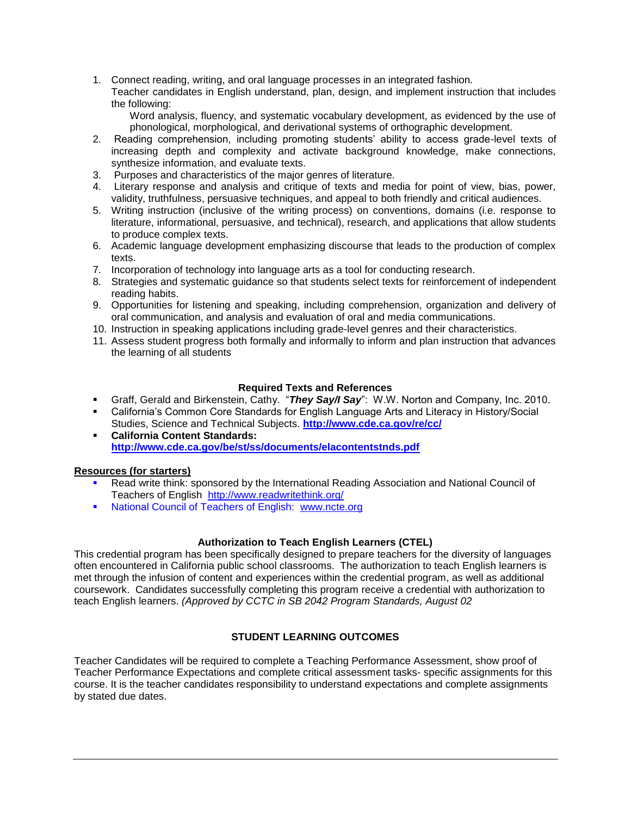1. Connect reading, writing, and oral language processes in an integrated fashion.

Teacher candidates in English understand, plan, design, and implement instruction that includes the following:

Word analysis, fluency, and systematic vocabulary development, as evidenced by the use of phonological, morphological, and derivational systems of orthographic development.

- 2. Reading comprehension, including promoting students' ability to access grade-level texts of increasing depth and complexity and activate background knowledge, make connections, synthesize information, and evaluate texts.
- 3. Purposes and characteristics of the major genres of literature.
- 4. Literary response and analysis and critique of texts and media for point of view, bias, power, validity, truthfulness, persuasive techniques, and appeal to both friendly and critical audiences.
- 5. Writing instruction (inclusive of the writing process) on conventions, domains (i.e. response to literature, informational, persuasive, and technical), research, and applications that allow students to produce complex texts.
- 6. Academic language development emphasizing discourse that leads to the production of complex texts.
- 7. Incorporation of technology into language arts as a tool for conducting research.
- 8. Strategies and systematic guidance so that students select texts for reinforcement of independent reading habits.
- 9. Opportunities for listening and speaking, including comprehension, organization and delivery of oral communication, and analysis and evaluation of oral and media communications.
- 10. Instruction in speaking applications including grade-level genres and their characteristics.
- 11. Assess student progress both formally and informally to inform and plan instruction that advances the learning of all students

### **Required Texts and References**

- <span id="page-2-0"></span>Graff, Gerald and Birkenstein, Cathy. "*They Say/I Say*": W.W. Norton and Company, Inc. 2010.
- California's Common Core Standards for English Language Arts and Literacy in History/Social Studies, Science and Technical Subjects. **<http://www.cde.ca.gov/re/cc/>**
- **California Content Standards: <http://www.cde.ca.gov/be/st/ss/documents/elacontentstnds.pdf>**

## <span id="page-2-1"></span>**Resources (for starters)**

- Read write think: sponsored by the International Reading Association and National Council of Teachers of English <http://www.readwritethink.org/>
- National Council of Teachers of English: [www.ncte.org](http://www.ncte.org/)

## **Authorization to Teach English Learners (CTEL)**

<span id="page-2-2"></span>This credential program has been specifically designed to prepare teachers for the diversity of languages often encountered in California public school classrooms. The authorization to teach English learners is met through the infusion of content and experiences within the credential program, as well as additional coursework. Candidates successfully completing this program receive a credential with authorization to teach English learners. *(Approved by CCTC in SB 2042 Program Standards, August 02*

## **STUDENT LEARNING OUTCOMES**

<span id="page-2-3"></span>Teacher Candidates will be required to complete a Teaching Performance Assessment, show proof of Teacher Performance Expectations and complete critical assessment tasks- specific assignments for this course. It is the teacher candidates responsibility to understand expectations and complete assignments by stated due dates.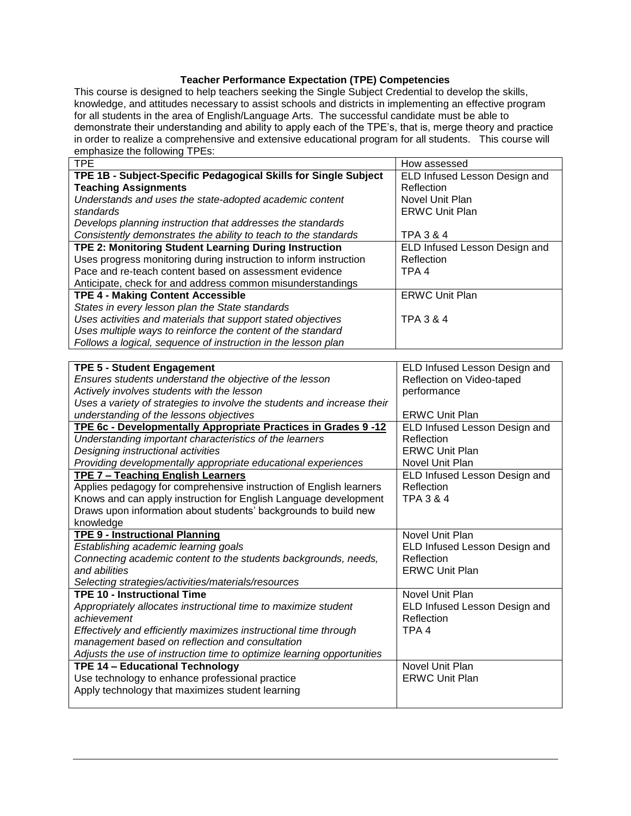# **Teacher Performance Expectation (TPE) Competencies**

<span id="page-3-0"></span>This course is designed to help teachers seeking the Single Subject Credential to develop the skills, knowledge, and attitudes necessary to assist schools and districts in implementing an effective program for all students in the area of English/Language Arts. The successful candidate must be able to demonstrate their understanding and ability to apply each of the TPE's, that is, merge theory and practice in order to realize a comprehensive and extensive educational program for all students. This course will emphasize the following TPEs:

| <b>TPE</b>                                                        | How assessed                  |
|-------------------------------------------------------------------|-------------------------------|
| TPE 1B - Subject-Specific Pedagogical Skills for Single Subject   | ELD Infused Lesson Design and |
| <b>Teaching Assignments</b>                                       | Reflection                    |
| Understands and uses the state-adopted academic content           | Novel Unit Plan               |
| standards                                                         | <b>ERWC Unit Plan</b>         |
| Develops planning instruction that addresses the standards        |                               |
| Consistently demonstrates the ability to teach to the standards   | TPA 3 & 4                     |
| TPE 2: Monitoring Student Learning During Instruction             | ELD Infused Lesson Design and |
| Uses progress monitoring during instruction to inform instruction | Reflection                    |
| Pace and re-teach content based on assessment evidence            | TPA <sub>4</sub>              |
| Anticipate, check for and address common misunderstandings        |                               |
| <b>TPE 4 - Making Content Accessible</b>                          | <b>ERWC Unit Plan</b>         |
| States in every lesson plan the State standards                   |                               |
| Uses activities and materials that support stated objectives      | TPA 3 & 4                     |
| Uses multiple ways to reinforce the content of the standard       |                               |
| Follows a logical, sequence of instruction in the lesson plan     |                               |

| <b>TPE 5 - Student Engagement</b>                                       | ELD Infused Lesson Design and |
|-------------------------------------------------------------------------|-------------------------------|
| Ensures students understand the objective of the lesson                 | Reflection on Video-taped     |
| Actively involves students with the lesson                              | performance                   |
| Uses a variety of strategies to involve the students and increase their |                               |
| understanding of the lessons objectives                                 | <b>ERWC Unit Plan</b>         |
| TPE 6c - Developmentally Appropriate Practices in Grades 9-12           | ELD Infused Lesson Design and |
| Understanding important characteristics of the learners                 | Reflection                    |
| Designing instructional activities                                      | <b>ERWC Unit Plan</b>         |
| Providing developmentally appropriate educational experiences           | Novel Unit Plan               |
| <b>TPE 7 - Teaching English Learners</b>                                | ELD Infused Lesson Design and |
| Applies pedagogy for comprehensive instruction of English learners      | Reflection                    |
| Knows and can apply instruction for English Language development        | TPA 3 & 4                     |
| Draws upon information about students' backgrounds to build new         |                               |
| knowledge                                                               |                               |
| <b>TPE 9 - Instructional Planning</b>                                   | Novel Unit Plan               |
| Establishing academic learning goals                                    | ELD Infused Lesson Design and |
| Connecting academic content to the students backgrounds, needs,         | Reflection                    |
| and abilities                                                           | <b>ERWC Unit Plan</b>         |
| Selecting strategies/activities/materials/resources                     |                               |
| <b>TPE 10 - Instructional Time</b>                                      | Novel Unit Plan               |
| Appropriately allocates instructional time to maximize student          | ELD Infused Lesson Design and |
| achievement                                                             | Reflection                    |
| Effectively and efficiently maximizes instructional time through        | TPA <sub>4</sub>              |
| management based on reflection and consultation                         |                               |
| Adjusts the use of instruction time to optimize learning opportunities  |                               |
| TPE 14 - Educational Technology                                         | Novel Unit Plan               |
| Use technology to enhance professional practice                         | <b>ERWC Unit Plan</b>         |
| Apply technology that maximizes student learning                        |                               |
|                                                                         |                               |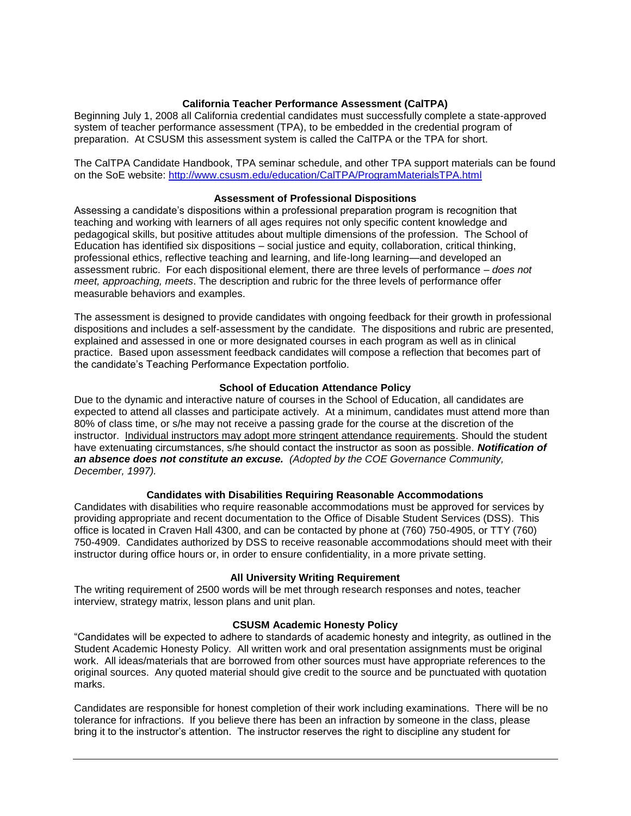### **California Teacher Performance Assessment (CalTPA)**

<span id="page-4-0"></span>Beginning July 1, 2008 all California credential candidates must successfully complete a state-approved system of teacher performance assessment (TPA), to be embedded in the credential program of preparation. At CSUSM this assessment system is called the CalTPA or the TPA for short.

The CalTPA Candidate Handbook, TPA seminar schedule, and other TPA support materials can be found on the SoE website:<http://www.csusm.edu/education/CalTPA/ProgramMaterialsTPA.html>

### **Assessment of Professional Dispositions**

<span id="page-4-1"></span>Assessing a candidate's dispositions within a professional preparation program is recognition that teaching and working with learners of all ages requires not only specific content knowledge and pedagogical skills, but positive attitudes about multiple dimensions of the profession. The School of Education has identified six dispositions – social justice and equity, collaboration, critical thinking, professional ethics, reflective teaching and learning, and life-long learning—and developed an assessment rubric. For each dispositional element, there are three levels of performance – *does not meet, approaching, meets*. The description and rubric for the three levels of performance offer measurable behaviors and examples.

The assessment is designed to provide candidates with ongoing feedback for their growth in professional dispositions and includes a self-assessment by the candidate. The dispositions and rubric are presented, explained and assessed in one or more designated courses in each program as well as in clinical practice. Based upon assessment feedback candidates will compose a reflection that becomes part of the candidate's Teaching Performance Expectation portfolio.

### **School of Education Attendance Policy**

<span id="page-4-2"></span>Due to the dynamic and interactive nature of courses in the School of Education, all candidates are expected to attend all classes and participate actively. At a minimum, candidates must attend more than 80% of class time, or s/he may not receive a passing grade for the course at the discretion of the instructor. Individual instructors may adopt more stringent attendance requirements. Should the student have extenuating circumstances, s/he should contact the instructor as soon as possible. *Notification of an absence does not constitute an excuse. (Adopted by the COE Governance Community, December, 1997).*

#### **Candidates with Disabilities Requiring Reasonable Accommodations**

<span id="page-4-3"></span>Candidates with disabilities who require reasonable accommodations must be approved for services by providing appropriate and recent documentation to the Office of Disable Student Services (DSS). This office is located in Craven Hall 4300, and can be contacted by phone at (760) 750-4905, or TTY (760) 750-4909. Candidates authorized by DSS to receive reasonable accommodations should meet with their instructor during office hours or, in order to ensure confidentiality, in a more private setting.

#### **All University Writing Requirement**

<span id="page-4-4"></span>The writing requirement of 2500 words will be met through research responses and notes, teacher interview, strategy matrix, lesson plans and unit plan.

#### **CSUSM Academic Honesty Policy**

<span id="page-4-5"></span>"Candidates will be expected to adhere to standards of academic honesty and integrity, as outlined in the Student Academic Honesty Policy. All written work and oral presentation assignments must be original work. All ideas/materials that are borrowed from other sources must have appropriate references to the original sources. Any quoted material should give credit to the source and be punctuated with quotation marks.

Candidates are responsible for honest completion of their work including examinations. There will be no tolerance for infractions. If you believe there has been an infraction by someone in the class, please bring it to the instructor's attention. The instructor reserves the right to discipline any student for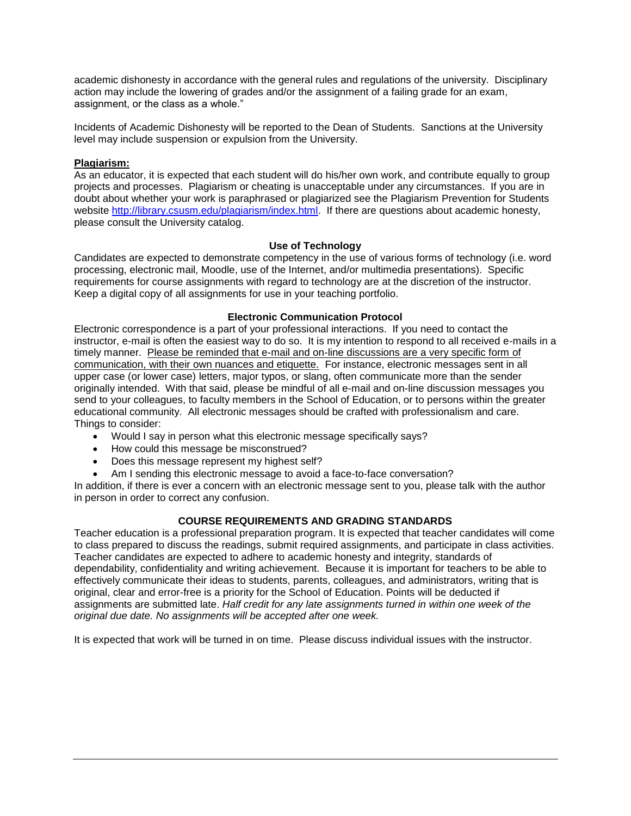academic dishonesty in accordance with the general rules and regulations of the university. Disciplinary action may include the lowering of grades and/or the assignment of a failing grade for an exam, assignment, or the class as a whole."

Incidents of Academic Dishonesty will be reported to the Dean of Students. Sanctions at the University level may include suspension or expulsion from the University.

### <span id="page-5-0"></span>**Plagiarism:**

As an educator, it is expected that each student will do his/her own work, and contribute equally to group projects and processes. Plagiarism or cheating is unacceptable under any circumstances. If you are in doubt about whether your work is paraphrased or plagiarized see the Plagiarism Prevention for Students website [http://library.csusm.edu/plagiarism/index.html.](http://library.csusm.edu/plagiarism/index.html) If there are questions about academic honesty, please consult the University catalog.

### **Use of Technology**

<span id="page-5-1"></span>Candidates are expected to demonstrate competency in the use of various forms of technology (i.e. word processing, electronic mail, Moodle, use of the Internet, and/or multimedia presentations). Specific requirements for course assignments with regard to technology are at the discretion of the instructor. Keep a digital copy of all assignments for use in your teaching portfolio.

### **Electronic Communication Protocol**

<span id="page-5-2"></span>Electronic correspondence is a part of your professional interactions. If you need to contact the instructor, e-mail is often the easiest way to do so. It is my intention to respond to all received e-mails in a timely manner. Please be reminded that e-mail and on-line discussions are a very specific form of communication, with their own nuances and etiquette. For instance, electronic messages sent in all upper case (or lower case) letters, major typos, or slang, often communicate more than the sender originally intended. With that said, please be mindful of all e-mail and on-line discussion messages you send to your colleagues, to faculty members in the School of Education, or to persons within the greater educational community. All electronic messages should be crafted with professionalism and care. Things to consider:

- Would I say in person what this electronic message specifically says?
- How could this message be misconstrued?
- Does this message represent my highest self?
- Am I sending this electronic message to avoid a face-to-face conversation?

In addition, if there is ever a concern with an electronic message sent to you, please talk with the author in person in order to correct any confusion.

## **COURSE REQUIREMENTS AND GRADING STANDARDS**

<span id="page-5-3"></span>Teacher education is a professional preparation program. It is expected that teacher candidates will come to class prepared to discuss the readings, submit required assignments, and participate in class activities. Teacher candidates are expected to adhere to academic honesty and integrity, standards of dependability, confidentiality and writing achievement. Because it is important for teachers to be able to effectively communicate their ideas to students, parents, colleagues, and administrators, writing that is original, clear and error-free is a priority for the School of Education. Points will be deducted if assignments are submitted late. *Half credit for any late assignments turned in within one week of the original due date. No assignments will be accepted after one week.*

It is expected that work will be turned in on time. Please discuss individual issues with the instructor.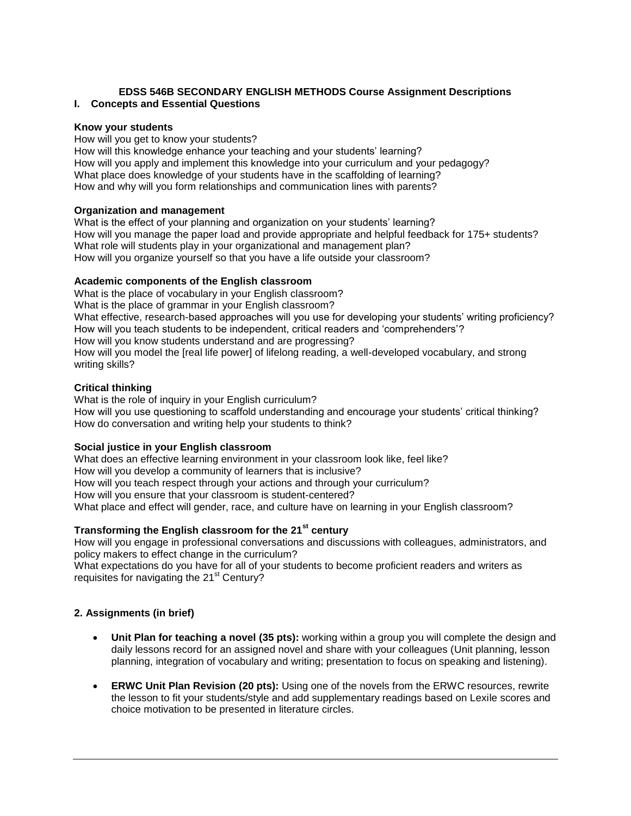### <span id="page-6-0"></span>**EDSS 546B SECONDARY ENGLISH METHODS Course Assignment Descriptions I. Concepts and Essential Questions**

### **Know your students**

How will you get to know your students?

How will this knowledge enhance your teaching and your students' learning? How will you apply and implement this knowledge into your curriculum and your pedagogy? What place does knowledge of your students have in the scaffolding of learning? How and why will you form relationships and communication lines with parents?

### **Organization and management**

What is the effect of your planning and organization on your students' learning? How will you manage the paper load and provide appropriate and helpful feedback for 175+ students? What role will students play in your organizational and management plan? How will you organize yourself so that you have a life outside your classroom?

### **Academic components of the English classroom**

What is the place of vocabulary in your English classroom? What is the place of grammar in your English classroom? What effective, research-based approaches will you use for developing your students' writing proficiency? How will you teach students to be independent, critical readers and 'comprehenders'? How will you know students understand and are progressing? How will you model the [real life power] of lifelong reading, a well-developed vocabulary, and strong writing skills?

### **Critical thinking**

What is the role of inquiry in your English curriculum? How will you use questioning to scaffold understanding and encourage your students' critical thinking? How do conversation and writing help your students to think?

## **Social justice in your English classroom**

What does an effective learning environment in your classroom look like, feel like? How will you develop a community of learners that is inclusive? How will you teach respect through your actions and through your curriculum? How will you ensure that your classroom is student-centered? What place and effect will gender, race, and culture have on learning in your English classroom?

## **Transforming the English classroom for the 21st century**

How will you engage in professional conversations and discussions with colleagues, administrators, and policy makers to effect change in the curriculum?

What expectations do you have for all of your students to become proficient readers and writers as requisites for navigating the  $21<sup>st</sup>$  Century?

#### **2. Assignments (in brief)**

- **Unit Plan for teaching a novel (35 pts):** working within a group you will complete the design and daily lessons record for an assigned novel and share with your colleagues (Unit planning, lesson planning, integration of vocabulary and writing; presentation to focus on speaking and listening).
- **ERWC Unit Plan Revision (20 pts):** Using one of the novels from the ERWC resources, rewrite the lesson to fit your students/style and add supplementary readings based on Lexile scores and choice motivation to be presented in literature circles.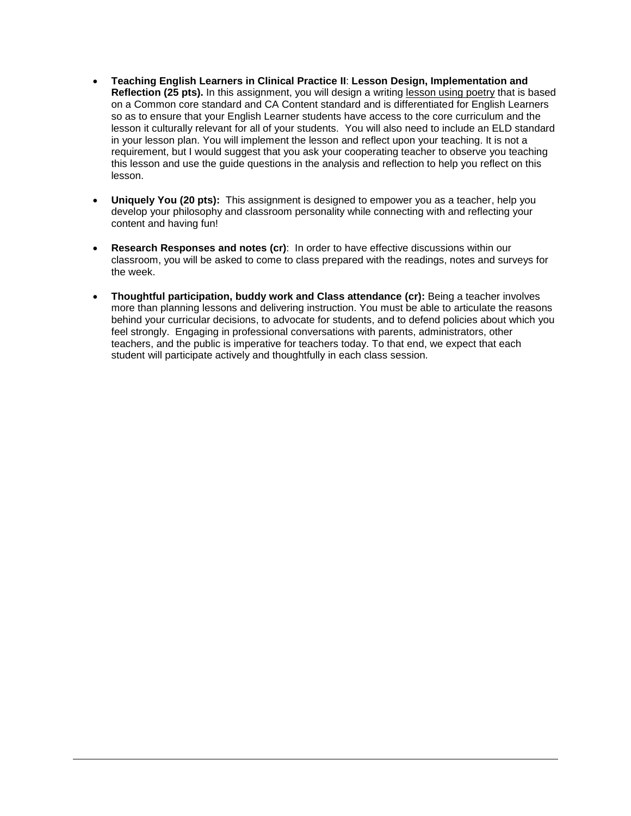- **Teaching English Learners in Clinical Practice II**: **Lesson Design, Implementation and Reflection (25 pts).** In this assignment, you will design a writing lesson using poetry that is based on a Common core standard and CA Content standard and is differentiated for English Learners so as to ensure that your English Learner students have access to the core curriculum and the lesson it culturally relevant for all of your students. You will also need to include an ELD standard in your lesson plan. You will implement the lesson and reflect upon your teaching. It is not a requirement, but I would suggest that you ask your cooperating teacher to observe you teaching this lesson and use the guide questions in the analysis and reflection to help you reflect on this lesson.
- **Uniquely You (20 pts):** This assignment is designed to empower you as a teacher, help you develop your philosophy and classroom personality while connecting with and reflecting your content and having fun!
- **Research Responses and notes (cr)**: In order to have effective discussions within our classroom, you will be asked to come to class prepared with the readings, notes and surveys for the week.
- **Thoughtful participation, buddy work and Class attendance (cr):** Being a teacher involves more than planning lessons and delivering instruction. You must be able to articulate the reasons behind your curricular decisions, to advocate for students, and to defend policies about which you feel strongly. Engaging in professional conversations with parents, administrators, other teachers, and the public is imperative for teachers today. To that end, we expect that each student will participate actively and thoughtfully in each class session.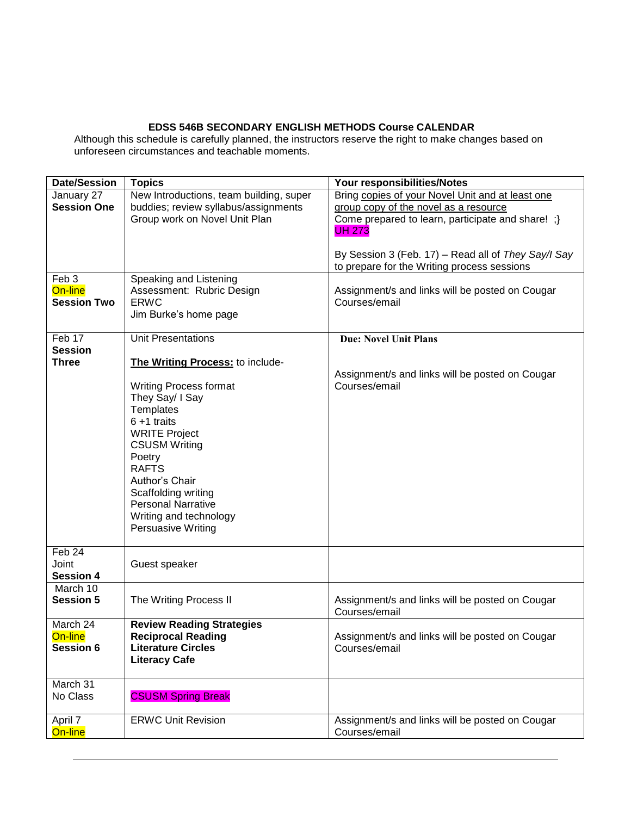# **EDSS 546B SECONDARY ENGLISH METHODS Course CALENDAR**

Although this schedule is carefully planned, the instructors reserve the right to make changes based on unforeseen circumstances and teachable moments.

| <b>Date/Session</b>                               | <b>Topics</b>                                                                               | Your responsibilities/Notes                                                                        |  |  |
|---------------------------------------------------|---------------------------------------------------------------------------------------------|----------------------------------------------------------------------------------------------------|--|--|
| January 27                                        | New Introductions, team building, super                                                     | Bring copies of your Novel Unit and at least one                                                   |  |  |
| <b>Session One</b>                                | buddies; review syllabus/assignments                                                        | group copy of the novel as a resource                                                              |  |  |
|                                                   | Group work on Novel Unit Plan                                                               | Come prepared to learn, participate and share! ;}<br><b>UH 273</b>                                 |  |  |
|                                                   |                                                                                             | By Session 3 (Feb. 17) - Read all of They Say/I Say<br>to prepare for the Writing process sessions |  |  |
| Feb <sub>3</sub><br>On-line<br><b>Session Two</b> | Speaking and Listening<br>Assessment: Rubric Design<br><b>ERWC</b><br>Jim Burke's home page | Assignment/s and links will be posted on Cougar<br>Courses/email                                   |  |  |
| Feb 17<br><b>Session</b>                          | <b>Unit Presentations</b>                                                                   | <b>Due: Novel Unit Plans</b>                                                                       |  |  |
| <b>Three</b>                                      | The Writing Process: to include-                                                            |                                                                                                    |  |  |
|                                                   |                                                                                             | Assignment/s and links will be posted on Cougar                                                    |  |  |
|                                                   | <b>Writing Process format</b>                                                               | Courses/email                                                                                      |  |  |
|                                                   | They Say/ I Say                                                                             |                                                                                                    |  |  |
|                                                   | Templates                                                                                   |                                                                                                    |  |  |
|                                                   | $6 + 1$ traits                                                                              |                                                                                                    |  |  |
|                                                   | <b>WRITE Project</b>                                                                        |                                                                                                    |  |  |
|                                                   | <b>CSUSM Writing</b>                                                                        |                                                                                                    |  |  |
|                                                   | Poetry                                                                                      |                                                                                                    |  |  |
|                                                   | <b>RAFTS</b>                                                                                |                                                                                                    |  |  |
|                                                   | Author's Chair<br>Scaffolding writing                                                       |                                                                                                    |  |  |
|                                                   | <b>Personal Narrative</b>                                                                   |                                                                                                    |  |  |
|                                                   | Writing and technology                                                                      |                                                                                                    |  |  |
|                                                   | Persuasive Writing                                                                          |                                                                                                    |  |  |
|                                                   |                                                                                             |                                                                                                    |  |  |
| Feb 24                                            |                                                                                             |                                                                                                    |  |  |
| Joint                                             | Guest speaker                                                                               |                                                                                                    |  |  |
| <b>Session 4</b>                                  |                                                                                             |                                                                                                    |  |  |
| March 10<br><b>Session 5</b>                      | The Writing Process II                                                                      | Assignment/s and links will be posted on Cougar<br>Courses/email                                   |  |  |
| March 24                                          | <b>Review Reading Strategies</b>                                                            |                                                                                                    |  |  |
| On-line                                           | <b>Reciprocal Reading</b>                                                                   | Assignment/s and links will be posted on Cougar                                                    |  |  |
| <b>Session 6</b>                                  | <b>Literature Circles</b>                                                                   | Courses/email                                                                                      |  |  |
|                                                   | <b>Literacy Cafe</b>                                                                        |                                                                                                    |  |  |
| March 31                                          |                                                                                             |                                                                                                    |  |  |
| No Class                                          | <b>CSUSM Spring Break</b>                                                                   |                                                                                                    |  |  |
| April 7                                           | <b>ERWC Unit Revision</b>                                                                   | Assignment/s and links will be posted on Cougar                                                    |  |  |
| On-line                                           |                                                                                             | Courses/email                                                                                      |  |  |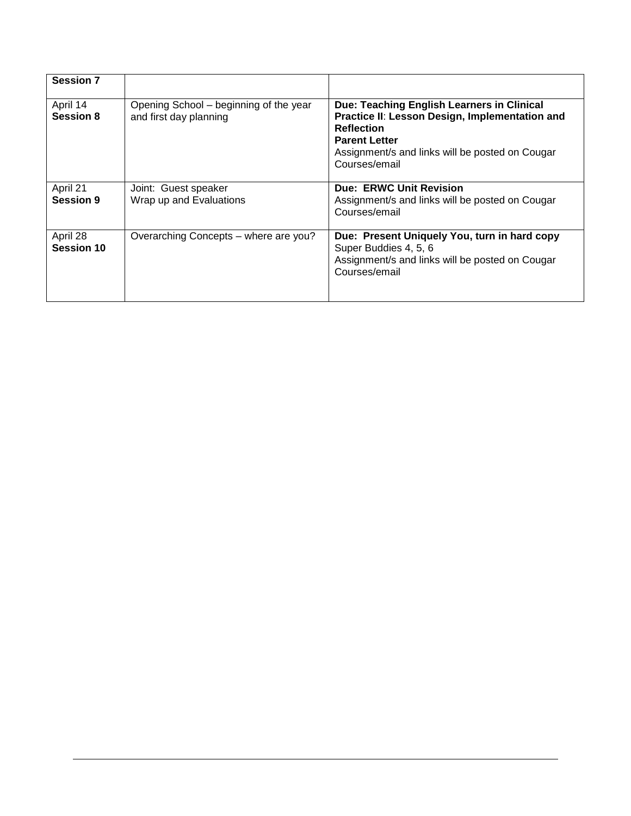| <b>Session 7</b>              |                                                                  |                                                                                                                                                                                                               |
|-------------------------------|------------------------------------------------------------------|---------------------------------------------------------------------------------------------------------------------------------------------------------------------------------------------------------------|
| April 14<br><b>Session 8</b>  | Opening School – beginning of the year<br>and first day planning | Due: Teaching English Learners in Clinical<br>Practice II: Lesson Design, Implementation and<br><b>Reflection</b><br><b>Parent Letter</b><br>Assignment/s and links will be posted on Cougar<br>Courses/email |
| April 21<br><b>Session 9</b>  | Joint: Guest speaker<br>Wrap up and Evaluations                  | <b>Due: ERWC Unit Revision</b><br>Assignment/s and links will be posted on Cougar<br>Courses/email                                                                                                            |
| April 28<br><b>Session 10</b> | Overarching Concepts - where are you?                            | Due: Present Uniquely You, turn in hard copy<br>Super Buddies 4, 5, 6<br>Assignment/s and links will be posted on Cougar<br>Courses/email                                                                     |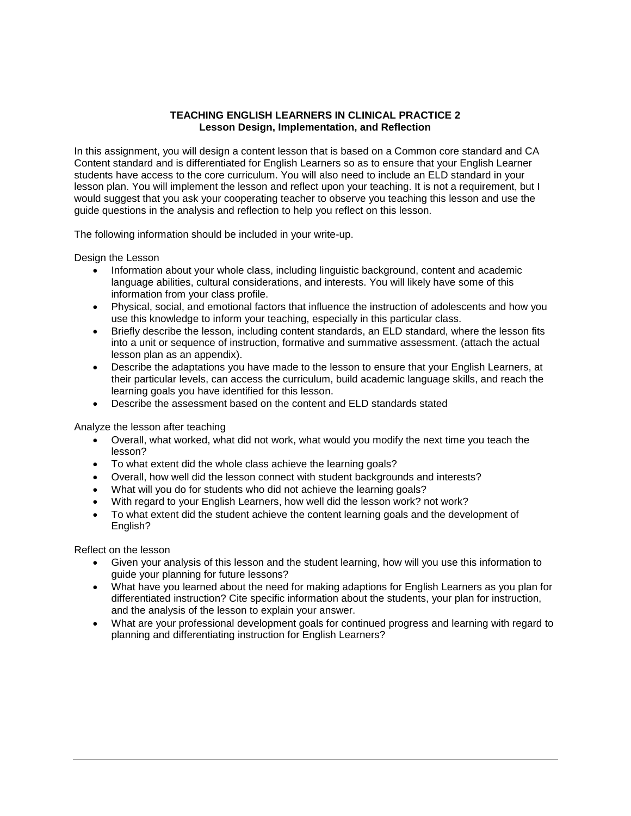### **TEACHING ENGLISH LEARNERS IN CLINICAL PRACTICE 2 Lesson Design, Implementation, and Reflection**

<span id="page-10-0"></span>In this assignment, you will design a content lesson that is based on a Common core standard and CA Content standard and is differentiated for English Learners so as to ensure that your English Learner students have access to the core curriculum. You will also need to include an ELD standard in your lesson plan. You will implement the lesson and reflect upon your teaching. It is not a requirement, but I would suggest that you ask your cooperating teacher to observe you teaching this lesson and use the guide questions in the analysis and reflection to help you reflect on this lesson.

The following information should be included in your write-up.

Design the Lesson

- Information about your whole class, including linguistic background, content and academic language abilities, cultural considerations, and interests. You will likely have some of this information from your class profile.
- Physical, social, and emotional factors that influence the instruction of adolescents and how you use this knowledge to inform your teaching, especially in this particular class.
- Briefly describe the lesson, including content standards, an ELD standard, where the lesson fits into a unit or sequence of instruction, formative and summative assessment. (attach the actual lesson plan as an appendix).
- Describe the adaptations you have made to the lesson to ensure that your English Learners, at their particular levels, can access the curriculum, build academic language skills, and reach the learning goals you have identified for this lesson.
- Describe the assessment based on the content and ELD standards stated

Analyze the lesson after teaching

- Overall, what worked, what did not work, what would you modify the next time you teach the lesson?
- To what extent did the whole class achieve the learning goals?
- Overall, how well did the lesson connect with student backgrounds and interests?
- What will you do for students who did not achieve the learning goals?
- With regard to your English Learners, how well did the lesson work? not work?
- To what extent did the student achieve the content learning goals and the development of English?

Reflect on the lesson

- Given your analysis of this lesson and the student learning, how will you use this information to guide your planning for future lessons?
- What have you learned about the need for making adaptions for English Learners as you plan for differentiated instruction? Cite specific information about the students, your plan for instruction, and the analysis of the lesson to explain your answer.
- What are your professional development goals for continued progress and learning with regard to planning and differentiating instruction for English Learners?